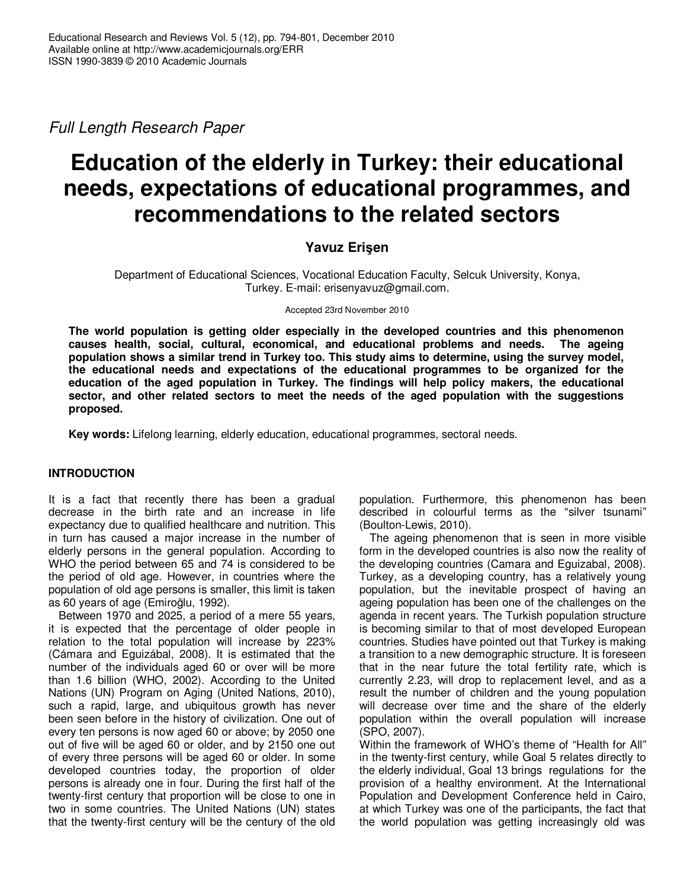Full Length Research Paper

# **Education of the elderly in Turkey: their educational needs, expectations of educational programmes, and recommendations to the related sectors**

## **Yavuz Erişen**

Department of Educational Sciences, Vocational Education Faculty, Selcuk University, Konya, Turkey. E-mail: erisenyavuz@gmail.com.

Accepted 23rd November 2010

**The world population is getting older especially in the developed countries and this phenomenon causes health, social, cultural, economical, and educational problems and needs. The ageing population shows a similar trend in Turkey too. This study aims to determine, using the survey model, the educational needs and expectations of the educational programmes to be organized for the education of the aged population in Turkey. The findings will help policy makers, the educational sector, and other related sectors to meet the needs of the aged population with the suggestions proposed.** 

**Key words:** Lifelong learning, elderly education, educational programmes, sectoral needs.

## **INTRODUCTION**

It is a fact that recently there has been a gradual decrease in the birth rate and an increase in life expectancy due to qualified healthcare and nutrition. This in turn has caused a major increase in the number of elderly persons in the general population. According to WHO the period between 65 and 74 is considered to be the period of old age. However, in countries where the population of old age persons is smaller, this limit is taken as 60 years of age (Emiroğlu, 1992).

Between 1970 and 2025, a period of a mere 55 years, it is expected that the percentage of older people in relation to the total population will increase by 223% (Cámara and Eguizábal, 2008). It is estimated that the number of the individuals aged 60 or over will be more than 1.6 billion (WHO, 2002). According to the United Nations (UN) Program on Aging (United Nations, 2010), such a rapid, large, and ubiquitous growth has never been seen before in the history of civilization. One out of every ten persons is now aged 60 or above; by 2050 one out of five will be aged 60 or older, and by 2150 one out of every three persons will be aged 60 or older. In some developed countries today, the proportion of older persons is already one in four. During the first half of the twenty-first century that proportion will be close to one in two in some countries. The United Nations (UN) states that the twenty-first century will be the century of the old population. Furthermore, this phenomenon has been described in colourful terms as the "silver tsunami" (Boulton-Lewis, 2010).

The ageing phenomenon that is seen in more visible form in the developed countries is also now the reality of the developing countries (Camara and Eguizabal, 2008). Turkey, as a developing country, has a relatively young population, but the inevitable prospect of having an ageing population has been one of the challenges on the agenda in recent years. The Turkish population structure is becoming similar to that of most developed European countries. Studies have pointed out that Turkey is making a transition to a new demographic structure. It is foreseen that in the near future the total fertility rate, which is currently 2.23, will drop to replacement level, and as a result the number of children and the young population will decrease over time and the share of the elderly population within the overall population will increase (SPO, 2007).

Within the framework of WHO's theme of "Health for All" in the twenty-first century, while Goal 5 relates directly to the elderly individual, Goal 13 brings regulations for the provision of a healthy environment. At the International Population and Development Conference held in Cairo, at which Turkey was one of the participants, the fact that the world population was getting increasingly old was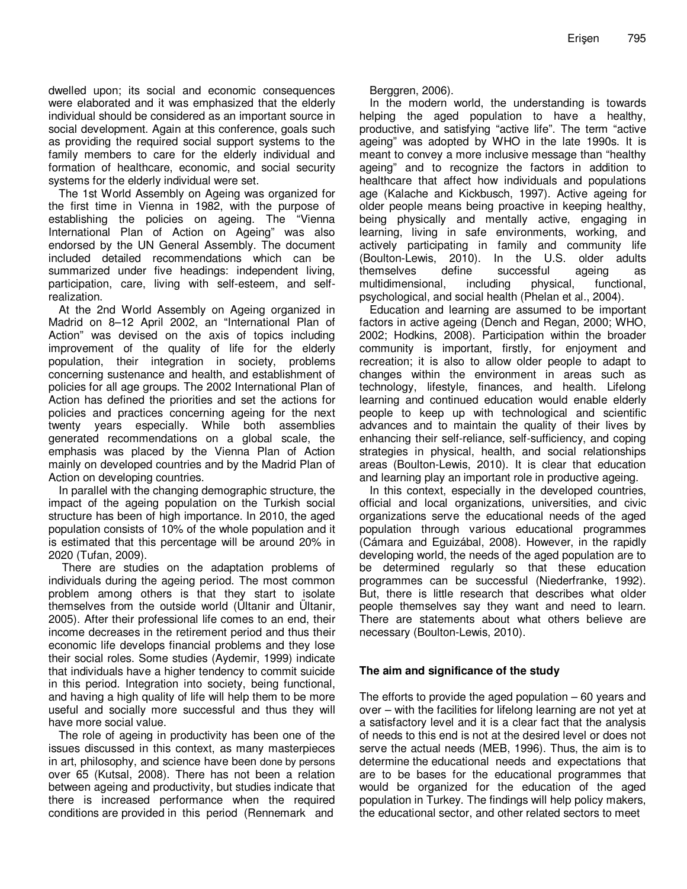dwelled upon; its social and economic consequences were elaborated and it was emphasized that the elderly individual should be considered as an important source in social development. Again at this conference, goals such as providing the required social support systems to the family members to care for the elderly individual and formation of healthcare, economic, and social security systems for the elderly individual were set.

The 1st World Assembly on Ageing was organized for the first time in Vienna in 1982, with the purpose of establishing the policies on ageing. The "Vienna International Plan of Action on Ageing" was also endorsed by the UN General Assembly. The document included detailed recommendations which can be summarized under five headings: independent living, participation, care, living with self-esteem, and selfrealization.

At the 2nd World Assembly on Ageing organized in Madrid on 8–12 April 2002, an "International Plan of Action" was devised on the axis of topics including improvement of the quality of life for the elderly population, their integration in society, problems concerning sustenance and health, and establishment of policies for all age groups. The 2002 International Plan of Action has defined the priorities and set the actions for policies and practices concerning ageing for the next twenty years especially. While both assemblies generated recommendations on a global scale, the emphasis was placed by the Vienna Plan of Action mainly on developed countries and by the Madrid Plan of Action on developing countries.

In parallel with the changing demographic structure, the impact of the ageing population on the Turkish social structure has been of high importance. In 2010, the aged population consists of 10% of the whole population and it is estimated that this percentage will be around 20% in 2020 (Tufan, 2009).

 There are studies on the adaptation problems of individuals during the ageing period. The most common problem among others is that they start to isolate themselves from the outside world (Ültanir and Ültanir, 2005). After their professional life comes to an end, their income decreases in the retirement period and thus their economic life develops financial problems and they lose their social roles. Some studies (Aydemir, 1999) indicate that individuals have a higher tendency to commit suicide in this period. Integration into society, being functional, and having a high quality of life will help them to be more useful and socially more successful and thus they will have more social value.

The role of ageing in productivity has been one of the issues discussed in this context, as many masterpieces in art, philosophy, and science have been done by persons over 65 (Kutsal, 2008). There has not been a relation between ageing and productivity, but studies indicate that there is increased performance when the required conditions are provided in this period (Rennemark and

Berggren, 2006).

In the modern world, the understanding is towards helping the aged population to have a healthy, productive, and satisfying "active life". The term "active ageing" was adopted by WHO in the late 1990s. It is meant to convey a more inclusive message than "healthy ageing" and to recognize the factors in addition to healthcare that affect how individuals and populations age (Kalache and Kickbusch, 1997). Active ageing for older people means being proactive in keeping healthy, being physically and mentally active, engaging in learning, living in safe environments, working, and actively participating in family and community life (Boulton-Lewis, 2010). In the U.S. older adults themselves define successful ageing as multidimensional, including physical, functional, psychological, and social health (Phelan et al., 2004).

Education and learning are assumed to be important factors in active ageing (Dench and Regan, 2000; WHO, 2002; Hodkins, 2008). Participation within the broader community is important, firstly, for enjoyment and recreation; it is also to allow older people to adapt to changes within the environment in areas such as technology, lifestyle, finances, and health. Lifelong learning and continued education would enable elderly people to keep up with technological and scientific advances and to maintain the quality of their lives by enhancing their self-reliance, self-sufficiency, and coping strategies in physical, health, and social relationships areas (Boulton-Lewis, 2010). It is clear that education and learning play an important role in productive ageing.

In this context, especially in the developed countries, official and local organizations, universities, and civic organizations serve the educational needs of the aged population through various educational programmes (Cámara and Eguizábal, 2008). However, in the rapidly developing world, the needs of the aged population are to be determined regularly so that these education programmes can be successful (Niederfranke, 1992). But, there is little research that describes what older people themselves say they want and need to learn. There are statements about what others believe are necessary (Boulton-Lewis, 2010).

## **The aim and significance of the study**

The efforts to provide the aged population – 60 years and over – with the facilities for lifelong learning are not yet at a satisfactory level and it is a clear fact that the analysis of needs to this end is not at the desired level or does not serve the actual needs (MEB, 1996). Thus, the aim is to determine the educational needs and expectations that are to be bases for the educational programmes that would be organized for the education of the aged population in Turkey. The findings will help policy makers, the educational sector, and other related sectors to meet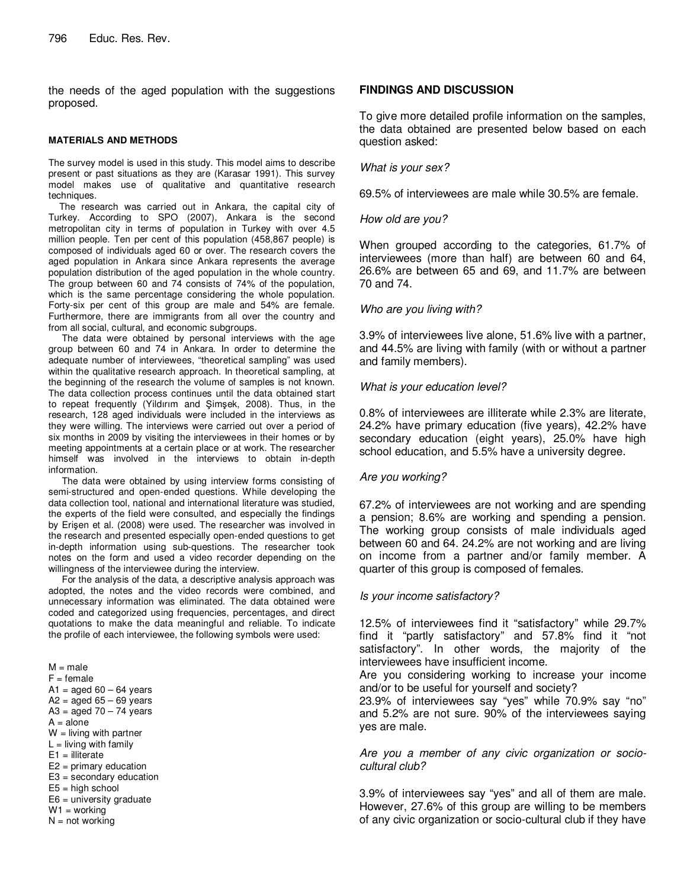the needs of the aged population with the suggestions proposed.

#### **MATERIALS AND METHODS**

The survey model is used in this study. This model aims to describe present or past situations as they are (Karasar 1991). This survey model makes use of qualitative and quantitative research techniques.

 The research was carried out in Ankara, the capital city of Turkey. According to SPO (2007), Ankara is the second metropolitan city in terms of population in Turkey with over 4.5 million people. Ten per cent of this population (458,867 people) is composed of individuals aged 60 or over. The research covers the aged population in Ankara since Ankara represents the average population distribution of the aged population in the whole country. The group between 60 and 74 consists of 74% of the population, which is the same percentage considering the whole population. Forty-six per cent of this group are male and 54% are female. Furthermore, there are immigrants from all over the country and from all social, cultural, and economic subgroups.

 The data were obtained by personal interviews with the age group between 60 and 74 in Ankara. In order to determine the adequate number of interviewees, "theoretical sampling" was used within the qualitative research approach. In theoretical sampling, at the beginning of the research the volume of samples is not known. The data collection process continues until the data obtained start to repeat frequently (Yildırım and Şimşek, 2008). Thus, in the research, 128 aged individuals were included in the interviews as they were willing. The interviews were carried out over a period of six months in 2009 by visiting the interviewees in their homes or by meeting appointments at a certain place or at work. The researcher himself was involved in the interviews to obtain in-depth information.

 The data were obtained by using interview forms consisting of semi-structured and open-ended questions. While developing the data collection tool, national and international literature was studied, the experts of the field were consulted, and especially the findings by Erişen et al. (2008) were used. The researcher was involved in the research and presented especially open-ended questions to get in-depth information using sub-questions. The researcher took notes on the form and used a video recorder depending on the willingness of the interviewee during the interview.

 For the analysis of the data, a descriptive analysis approach was adopted, the notes and the video records were combined, and unnecessary information was eliminated. The data obtained were coded and categorized using frequencies, percentages, and direct quotations to make the data meaningful and reliable. To indicate the profile of each interviewee, the following symbols were used:

 $M = male$  $F = female$  $A1 = aged 60 - 64 years$  $A2 = aged 65 - 69 years$  $A3 = a$ ged  $70 - 74$  years  $A = alone$  $W =$  living with partner  $L =$  living with family  $E1 =$  illiterate E2 = primary education E3 = secondary education  $E5 =$ high school  $E6$  = university graduate  $W1 =$  working

 $N = not working$ 

## **FINDINGS AND DISCUSSION**

To give more detailed profile information on the samples, the data obtained are presented below based on each question asked:

### What is your sex?

69.5% of interviewees are male while 30.5% are female.

## How old are you?

When grouped according to the categories, 61.7% of interviewees (more than half) are between 60 and 64, 26.6% are between 65 and 69, and 11.7% are between 70 and 74.

## Who are you living with?

3.9% of interviewees live alone, 51.6% live with a partner, and 44.5% are living with family (with or without a partner and family members).

#### What is your education level?

0.8% of interviewees are illiterate while 2.3% are literate, 24.2% have primary education (five years), 42.2% have secondary education (eight years), 25.0% have high school education, and 5.5% have a university degree.

## Are you working?

67.2% of interviewees are not working and are spending a pension; 8.6% are working and spending a pension. The working group consists of male individuals aged between 60 and 64. 24.2% are not working and are living on income from a partner and/or family member. A quarter of this group is composed of females.

## Is your income satisfactory?

12.5% of interviewees find it "satisfactory" while 29.7% find it "partly satisfactory" and 57.8% find it "not satisfactory". In other words, the majority of the interviewees have insufficient income.

Are you considering working to increase your income and/or to be useful for yourself and society?

23.9% of interviewees say "yes" while 70.9% say "no" and 5.2% are not sure. 90% of the interviewees saying yes are male.

Are you a member of any civic organization or sociocultural club?

3.9% of interviewees say "yes" and all of them are male. However, 27.6% of this group are willing to be members of any civic organization or socio-cultural club if they have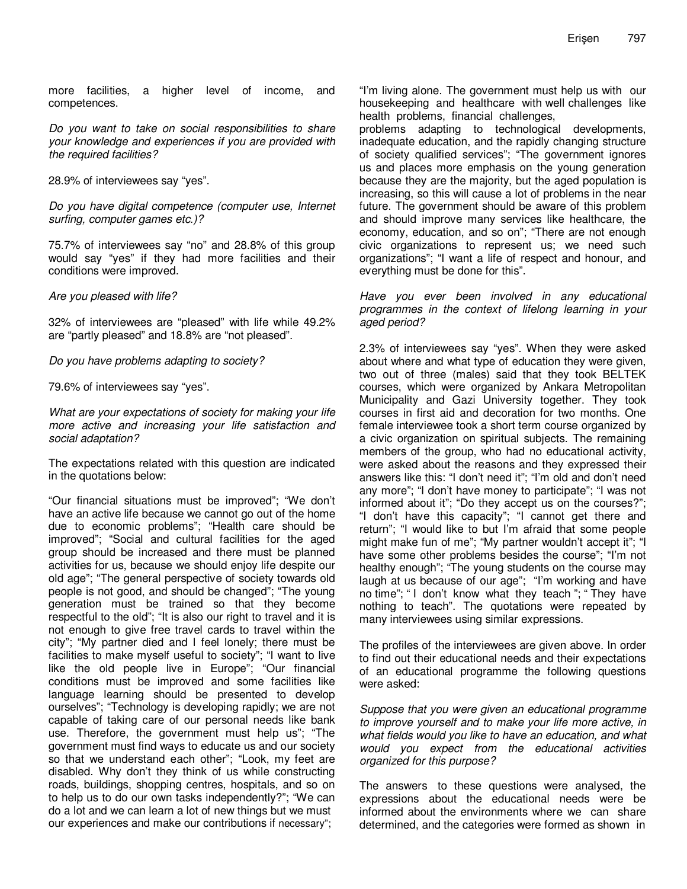more facilities, a higher level of income, and competences.

Do you want to take on social responsibilities to share your knowledge and experiences if you are provided with the required facilities?

28.9% of interviewees say "yes".

Do you have digital competence (computer use, Internet surfing, computer games etc.)?

75.7% of interviewees say "no" and 28.8% of this group would say "yes" if they had more facilities and their conditions were improved.

Are you pleased with life?

32% of interviewees are "pleased" with life while 49.2% are "partly pleased" and 18.8% are "not pleased".

Do you have problems adapting to society?

79.6% of interviewees say "yes".

What are your expectations of society for making your life more active and increasing your life satisfaction and social adaptation?

The expectations related with this question are indicated in the quotations below:

"Our financial situations must be improved"; "We don't have an active life because we cannot go out of the home due to economic problems"; "Health care should be improved"; "Social and cultural facilities for the aged group should be increased and there must be planned activities for us, because we should enjoy life despite our old age"; "The general perspective of society towards old people is not good, and should be changed"; "The young generation must be trained so that they become respectful to the old"; "It is also our right to travel and it is not enough to give free travel cards to travel within the city"; "My partner died and I feel lonely; there must be facilities to make myself useful to society"; "I want to live like the old people live in Europe"; "Our financial conditions must be improved and some facilities like language learning should be presented to develop ourselves"; "Technology is developing rapidly; we are not capable of taking care of our personal needs like bank use. Therefore, the government must help us"; "The government must find ways to educate us and our society so that we understand each other"; "Look, my feet are disabled. Why don't they think of us while constructing roads, buildings, shopping centres, hospitals, and so on to help us to do our own tasks independently?"; "We can do a lot and we can learn a lot of new things but we must our experiences and make our contributions if necessary";

"I'm living alone. The government must help us with our housekeeping and healthcare with well challenges like health problems, financial challenges,

problems adapting to technological developments, inadequate education, and the rapidly changing structure of society qualified services"; "The government ignores us and places more emphasis on the young generation because they are the majority, but the aged population is increasing, so this will cause a lot of problems in the near future. The government should be aware of this problem and should improve many services like healthcare, the economy, education, and so on"; "There are not enough civic organizations to represent us; we need such organizations"; "I want a life of respect and honour, and everything must be done for this".

Have you ever been involved in any educational programmes in the context of lifelong learning in your aged period?

2.3% of interviewees say "yes". When they were asked about where and what type of education they were given, two out of three (males) said that they took BELTEK courses, which were organized by Ankara Metropolitan Municipality and Gazi University together. They took courses in first aid and decoration for two months. One female interviewee took a short term course organized by a civic organization on spiritual subjects. The remaining members of the group, who had no educational activity, were asked about the reasons and they expressed their answers like this: "I don't need it"; "I'm old and don't need any more"; "I don't have money to participate"; "I was not informed about it"; "Do they accept us on the courses?"; "I don't have this capacity"; "I cannot get there and return"; "I would like to but I'm afraid that some people might make fun of me"; "My partner wouldn't accept it"; "I have some other problems besides the course"; "I'm not healthy enough"; "The young students on the course may laugh at us because of our age"; "I'm working and have no time"; " I don't know what they teach "; " They have nothing to teach". The quotations were repeated by many interviewees using similar expressions.

The profiles of the interviewees are given above. In order to find out their educational needs and their expectations of an educational programme the following questions were asked:

Suppose that you were given an educational programme to improve yourself and to make your life more active, in what fields would you like to have an education, and what would you expect from the educational activities organized for this purpose?

The answers to these questions were analysed, the expressions about the educational needs were be informed about the environments where we can share determined, and the categories were formed as shown in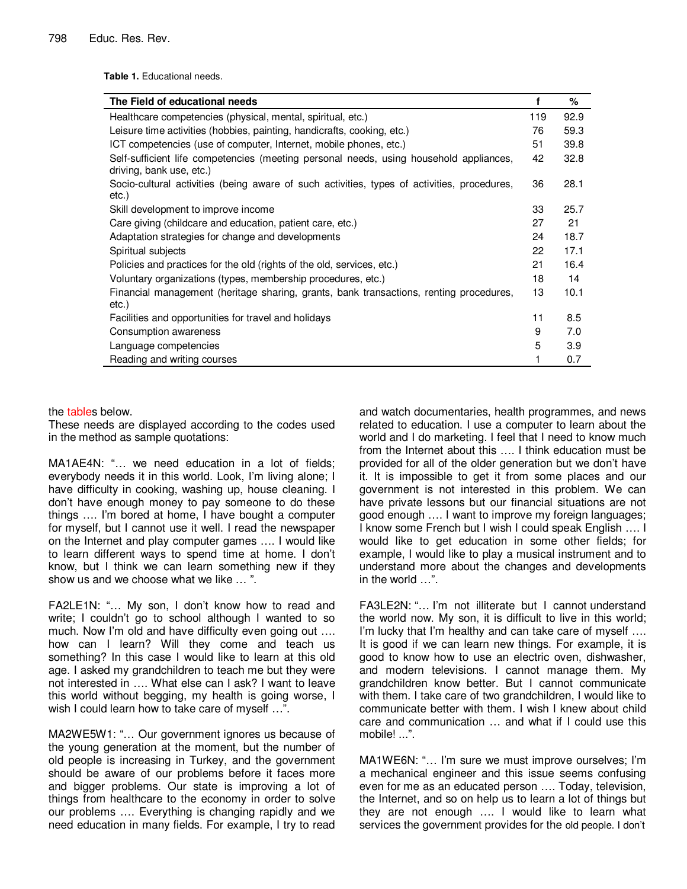**Table 1.** Educational needs.

| The Field of educational needs                                                                                     | f   | $\%$ |
|--------------------------------------------------------------------------------------------------------------------|-----|------|
| Healthcare competencies (physical, mental, spiritual, etc.)                                                        | 119 | 92.9 |
| Leisure time activities (hobbies, painting, handicrafts, cooking, etc.)                                            | 76  | 59.3 |
| ICT competencies (use of computer, Internet, mobile phones, etc.)                                                  | 51  | 39.8 |
| Self-sufficient life competencies (meeting personal needs, using household appliances,<br>driving, bank use, etc.) | 42  | 32.8 |
| Socio-cultural activities (being aware of such activities, types of activities, procedures,<br>etc.)               | 36  | 28.1 |
| Skill development to improve income                                                                                | 33  | 25.7 |
| Care giving (childcare and education, patient care, etc.)                                                          | 27  | 21   |
| Adaptation strategies for change and developments                                                                  | 24  | 18.7 |
| Spiritual subjects                                                                                                 | 22  | 17.1 |
| Policies and practices for the old (rights of the old, services, etc.)                                             | 21  | 16.4 |
| Voluntary organizations (types, membership procedures, etc.)                                                       | 18  | 14   |
| Financial management (heritage sharing, grants, bank transactions, renting procedures,<br>etc.)                    | 13  | 10.1 |
| Facilities and opportunities for travel and holidays                                                               | 11  | 8.5  |
| Consumption awareness                                                                                              | 9   | 7.0  |
| Language competencies                                                                                              | 5   | 3.9  |
| Reading and writing courses                                                                                        | 1   | 0.7  |

## the tables below.

These needs are displayed according to the codes used in the method as sample quotations:

MA1AE4N: "… we need education in a lot of fields; everybody needs it in this world. Look, I'm living alone; I have difficulty in cooking, washing up, house cleaning. I don't have enough money to pay someone to do these things …. I'm bored at home, I have bought a computer for myself, but I cannot use it well. I read the newspaper on the Internet and play computer games …. I would like to learn different ways to spend time at home. I don't know, but I think we can learn something new if they show us and we choose what we like … ".

FA2LE1N: "… My son, I don't know how to read and write; I couldn't go to school although I wanted to so much. Now I'm old and have difficulty even going out …. how can I learn? Will they come and teach us something? In this case I would like to learn at this old age. I asked my grandchildren to teach me but they were not interested in …. What else can I ask? I want to leave this world without begging, my health is going worse, I wish I could learn how to take care of myself ...".

MA2WE5W1: "… Our government ignores us because of the young generation at the moment, but the number of old people is increasing in Turkey, and the government should be aware of our problems before it faces more and bigger problems. Our state is improving a lot of things from healthcare to the economy in order to solve our problems …. Everything is changing rapidly and we need education in many fields. For example, I try to read

and watch documentaries, health programmes, and news related to education. I use a computer to learn about the world and I do marketing. I feel that I need to know much from the Internet about this …. I think education must be provided for all of the older generation but we don't have it. It is impossible to get it from some places and our government is not interested in this problem. We can have private lessons but our financial situations are not good enough …. I want to improve my foreign languages; I know some French but I wish I could speak English …. I would like to get education in some other fields; for example, I would like to play a musical instrument and to understand more about the changes and developments in the world …".

FA3LE2N: "… I'm not illiterate but I cannot understand the world now. My son, it is difficult to live in this world; I'm lucky that I'm healthy and can take care of myself .... It is good if we can learn new things. For example, it is good to know how to use an electric oven, dishwasher, and modern televisions. I cannot manage them. My grandchildren know better. But I cannot communicate with them. I take care of two grandchildren, I would like to communicate better with them. I wish I knew about child care and communication … and what if I could use this mobile! ...".

MA1WE6N: "… I'm sure we must improve ourselves; I'm a mechanical engineer and this issue seems confusing even for me as an educated person …. Today, television, the Internet, and so on help us to learn a lot of things but they are not enough …. I would like to learn what services the government provides for the old people. I don't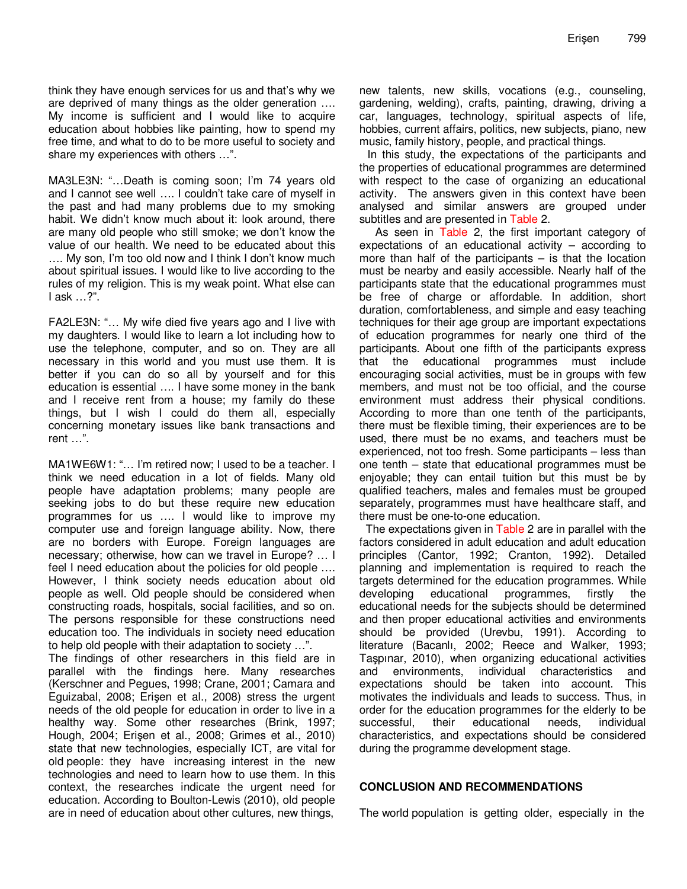think they have enough services for us and that's why we are deprived of many things as the older generation …. My income is sufficient and I would like to acquire education about hobbies like painting, how to spend my free time, and what to do to be more useful to society and share my experiences with others …".

MA3LE3N: "…Death is coming soon; I'm 74 years old and I cannot see well …. I couldn't take care of myself in the past and had many problems due to my smoking habit. We didn't know much about it: look around, there are many old people who still smoke; we don't know the value of our health. We need to be educated about this …. My son, I'm too old now and I think I don't know much about spiritual issues. I would like to live according to the rules of my religion. This is my weak point. What else can I ask …?".

FA2LE3N: "… My wife died five years ago and I live with my daughters. I would like to learn a lot including how to use the telephone, computer, and so on. They are all necessary in this world and you must use them. It is better if you can do so all by yourself and for this education is essential …. I have some money in the bank and I receive rent from a house; my family do these things, but I wish I could do them all, especially concerning monetary issues like bank transactions and rent …".

MA1WE6W1: "… I'm retired now; I used to be a teacher. I think we need education in a lot of fields. Many old people have adaptation problems; many people are seeking jobs to do but these require new education programmes for us …. I would like to improve my computer use and foreign language ability. Now, there are no borders with Europe. Foreign languages are necessary; otherwise, how can we travel in Europe? … I feel I need education about the policies for old people …. However, I think society needs education about old people as well. Old people should be considered when constructing roads, hospitals, social facilities, and so on. The persons responsible for these constructions need education too. The individuals in society need education to help old people with their adaptation to society …". The findings of other researchers in this field are in parallel with the findings here. Many researches (Kerschner and Pegues, 1998; Crane, 2001; Camara and Eguizabal, 2008; Erişen et al., 2008) stress the urgent needs of the old people for education in order to live in a healthy way. Some other researches (Brink, 1997;

Hough, 2004; Erişen et al., 2008; Grimes et al., 2010) state that new technologies, especially ICT, are vital for old people: they have increasing interest in the new technologies and need to learn how to use them. In this context, the researches indicate the urgent need for education. According to Boulton-Lewis (2010), old people are in need of education about other cultures, new things,

new talents, new skills, vocations (e.g., counseling, gardening, welding), crafts, painting, drawing, driving a car, languages, technology, spiritual aspects of life, hobbies, current affairs, politics, new subjects, piano, new music, family history, people, and practical things.

In this study, the expectations of the participants and the properties of educational programmes are determined with respect to the case of organizing an educational activity. The answers given in this context have been analysed and similar answers are grouped under subtitles and are presented in Table 2.

As seen in Table 2, the first important category of expectations of an educational activity – according to more than half of the participants  $-$  is that the location must be nearby and easily accessible. Nearly half of the participants state that the educational programmes must be free of charge or affordable. In addition, short duration, comfortableness, and simple and easy teaching techniques for their age group are important expectations of education programmes for nearly one third of the participants. About one fifth of the participants express that the educational programmes must include encouraging social activities, must be in groups with few members, and must not be too official, and the course environment must address their physical conditions. According to more than one tenth of the participants, there must be flexible timing, their experiences are to be used, there must be no exams, and teachers must be experienced, not too fresh. Some participants – less than one tenth – state that educational programmes must be enjoyable; they can entail tuition but this must be by qualified teachers, males and females must be grouped separately, programmes must have healthcare staff, and there must be one-to-one education.

The expectations given in Table 2 are in parallel with the factors considered in adult education and adult education principles (Cantor, 1992; Cranton, 1992). Detailed planning and implementation is required to reach the targets determined for the education programmes. While developing educational programmes, firstly the educational needs for the subjects should be determined and then proper educational activities and environments should be provided (Urevbu, 1991). According to literature (Bacanlı, 2002; Reece and Walker, 1993; Taşpınar, 2010), when organizing educational activities and environments, individual characteristics and expectations should be taken into account. This motivates the individuals and leads to success. Thus, in order for the education programmes for the elderly to be successful, their educational needs, individual characteristics, and expectations should be considered during the programme development stage.

## **CONCLUSION AND RECOMMENDATIONS**

The world population is getting older, especially in the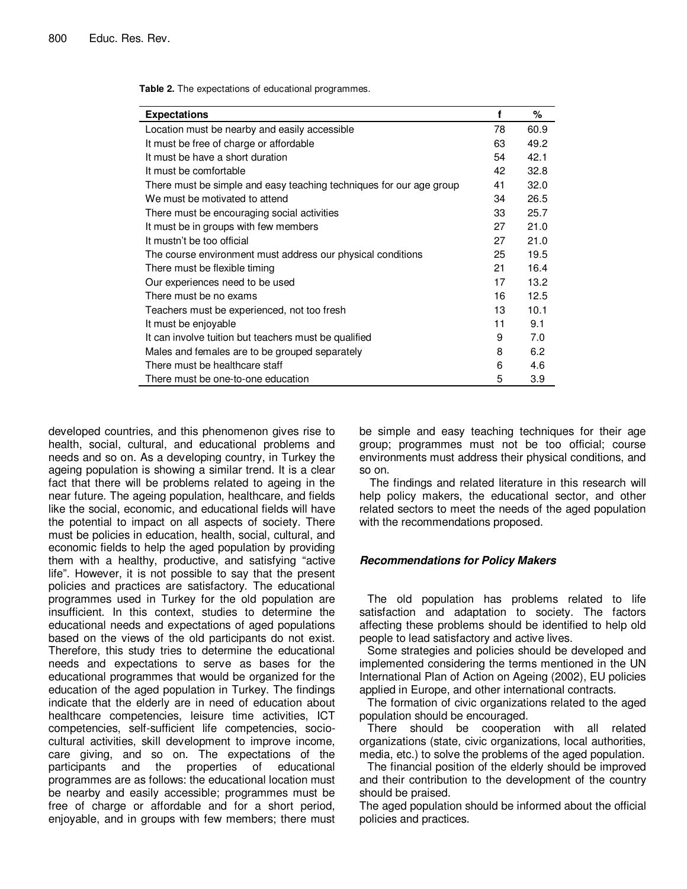**Table 2.** The expectations of educational programmes.

| <b>Expectations</b>                                                 | f  | %    |
|---------------------------------------------------------------------|----|------|
| Location must be nearby and easily accessible                       | 78 | 60.9 |
| It must be free of charge or affordable                             | 63 | 49.2 |
| It must be have a short duration                                    | 54 | 42.1 |
| It must be comfortable                                              | 42 | 32.8 |
| There must be simple and easy teaching techniques for our age group | 41 | 32.0 |
| We must be motivated to attend                                      | 34 | 26.5 |
| There must be encouraging social activities                         | 33 | 25.7 |
| It must be in groups with few members                               | 27 | 21.0 |
| It mustn't be too official                                          | 27 | 21.0 |
| The course environment must address our physical conditions         | 25 | 19.5 |
| There must be flexible timing                                       | 21 | 16.4 |
| Our experiences need to be used                                     | 17 | 13.2 |
| There must be no exams                                              | 16 | 12.5 |
| Teachers must be experienced, not too fresh                         | 13 | 10.1 |
| It must be enjoyable                                                | 11 | 9.1  |
| It can involve tuition but teachers must be qualified               | 9  | 7.0  |
| Males and females are to be grouped separately                      | 8  | 6.2  |
| There must be healthcare staff                                      | 6  | 4.6  |
| There must be one-to-one education                                  | 5  | 3.9  |

developed countries, and this phenomenon gives rise to health, social, cultural, and educational problems and needs and so on. As a developing country, in Turkey the ageing population is showing a similar trend. It is a clear fact that there will be problems related to ageing in the near future. The ageing population, healthcare, and fields like the social, economic, and educational fields will have the potential to impact on all aspects of society. There must be policies in education, health, social, cultural, and economic fields to help the aged population by providing them with a healthy, productive, and satisfying "active life". However, it is not possible to say that the present policies and practices are satisfactory. The educational programmes used in Turkey for the old population are insufficient. In this context, studies to determine the educational needs and expectations of aged populations based on the views of the old participants do not exist. Therefore, this study tries to determine the educational needs and expectations to serve as bases for the educational programmes that would be organized for the education of the aged population in Turkey. The findings indicate that the elderly are in need of education about healthcare competencies, leisure time activities, ICT competencies, self-sufficient life competencies, sociocultural activities, skill development to improve income, care giving, and so on. The expectations of the participants and the properties of educational programmes are as follows: the educational location must be nearby and easily accessible; programmes must be free of charge or affordable and for a short period, enjoyable, and in groups with few members; there must

be simple and easy teaching techniques for their age group; programmes must not be too official; course environments must address their physical conditions, and so on.

The findings and related literature in this research will help policy makers, the educational sector, and other related sectors to meet the needs of the aged population with the recommendations proposed.

## **Recommendations for Policy Makers**

The old population has problems related to life satisfaction and adaptation to society. The factors affecting these problems should be identified to help old people to lead satisfactory and active lives.

Some strategies and policies should be developed and implemented considering the terms mentioned in the UN International Plan of Action on Ageing (2002), EU policies applied in Europe, and other international contracts.

The formation of civic organizations related to the aged population should be encouraged.

There should be cooperation with all related organizations (state, civic organizations, local authorities, media, etc.) to solve the problems of the aged population.

The financial position of the elderly should be improved and their contribution to the development of the country should be praised.

The aged population should be informed about the official policies and practices.